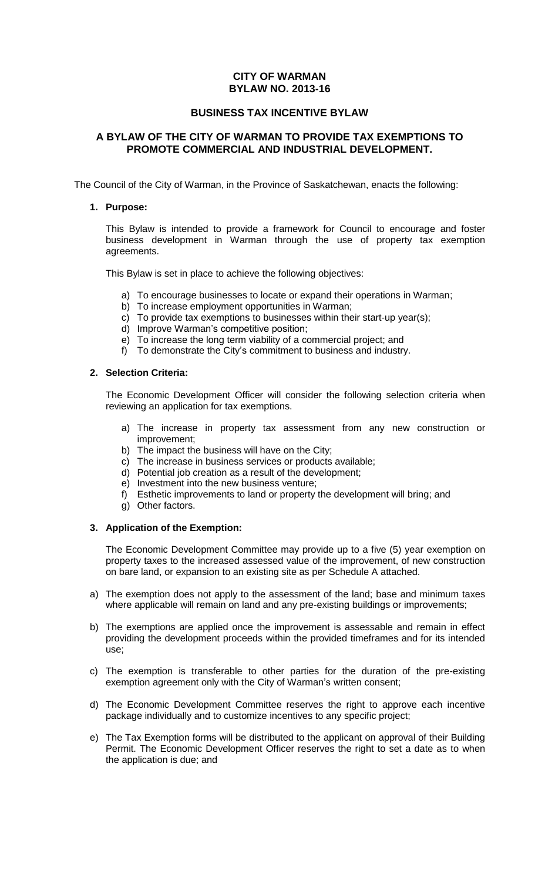# **CITY OF WARMAN BYLAW NO. 2013-16**

# **BUSINESS TAX INCENTIVE BYLAW**

# **A BYLAW OF THE CITY OF WARMAN TO PROVIDE TAX EXEMPTIONS TO PROMOTE COMMERCIAL AND INDUSTRIAL DEVELOPMENT.**

The Council of the City of Warman, in the Province of Saskatchewan, enacts the following:

#### **1. Purpose:**

This Bylaw is intended to provide a framework for Council to encourage and foster business development in Warman through the use of property tax exemption agreements.

This Bylaw is set in place to achieve the following objectives:

- a) To encourage businesses to locate or expand their operations in Warman;
- b) To increase employment opportunities in Warman;
- c) To provide tax exemptions to businesses within their start-up year(s);
- d) Improve Warman's competitive position;
- e) To increase the long term viability of a commercial project; and
- f) To demonstrate the City's commitment to business and industry.

#### **2. Selection Criteria:**

The Economic Development Officer will consider the following selection criteria when reviewing an application for tax exemptions.

- a) The increase in property tax assessment from any new construction or improvement;
- b) The impact the business will have on the City;
- c) The increase in business services or products available;
- d) Potential job creation as a result of the development;
- e) Investment into the new business venture;
- f) Esthetic improvements to land or property the development will bring; and
- g) Other factors.

## **3. Application of the Exemption:**

The Economic Development Committee may provide up to a five (5) year exemption on property taxes to the increased assessed value of the improvement, of new construction on bare land, or expansion to an existing site as per Schedule A attached.

- a) The exemption does not apply to the assessment of the land; base and minimum taxes where applicable will remain on land and any pre-existing buildings or improvements;
- b) The exemptions are applied once the improvement is assessable and remain in effect providing the development proceeds within the provided timeframes and for its intended use;
- c) The exemption is transferable to other parties for the duration of the pre-existing exemption agreement only with the City of Warman's written consent;
- d) The Economic Development Committee reserves the right to approve each incentive package individually and to customize incentives to any specific project;
- e) The Tax Exemption forms will be distributed to the applicant on approval of their Building Permit. The Economic Development Officer reserves the right to set a date as to when the application is due; and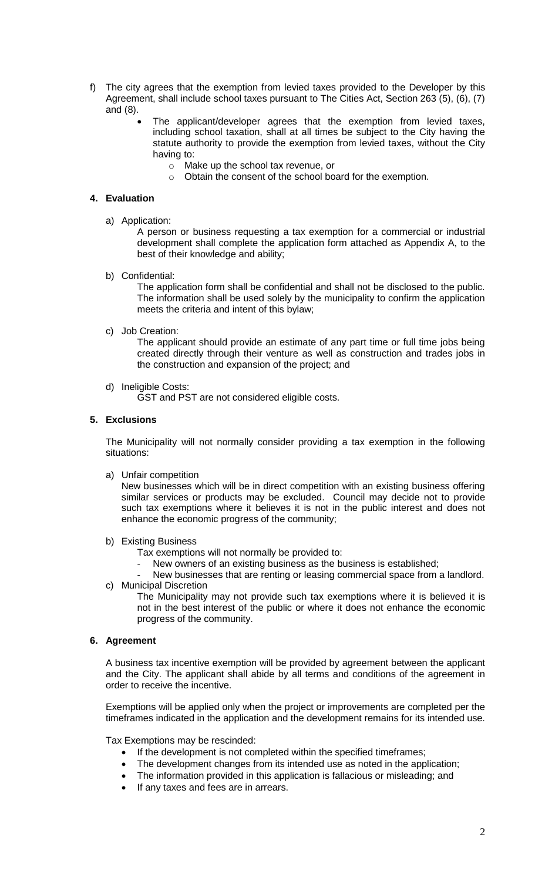- f) The city agrees that the exemption from levied taxes provided to the Developer by this Agreement, shall include school taxes pursuant to The Cities Act, Section 263 (5), (6), (7) and (8).
	- The applicant/developer agrees that the exemption from levied taxes, including school taxation, shall at all times be subject to the City having the statute authority to provide the exemption from levied taxes, without the City having to:
		- o Make up the school tax revenue, or
		- o Obtain the consent of the school board for the exemption.

#### **4. Evaluation**

a) Application:

A person or business requesting a tax exemption for a commercial or industrial development shall complete the application form attached as Appendix A, to the best of their knowledge and ability;

b) Confidential:

The application form shall be confidential and shall not be disclosed to the public. The information shall be used solely by the municipality to confirm the application meets the criteria and intent of this bylaw;

c) Job Creation:

The applicant should provide an estimate of any part time or full time jobs being created directly through their venture as well as construction and trades jobs in the construction and expansion of the project; and

d) Ineligible Costs:

GST and PST are not considered eligible costs.

## **5. Exclusions**

The Municipality will not normally consider providing a tax exemption in the following situations:

a) Unfair competition

New businesses which will be in direct competition with an existing business offering similar services or products may be excluded. Council may decide not to provide such tax exemptions where it believes it is not in the public interest and does not enhance the economic progress of the community;

- b) Existing Business
	- Tax exemptions will not normally be provided to:
	- New owners of an existing business as the business is established;
- New businesses that are renting or leasing commercial space from a landlord. c) Municipal Discretion

The Municipality may not provide such tax exemptions where it is believed it is not in the best interest of the public or where it does not enhance the economic progress of the community.

## **6. Agreement**

A business tax incentive exemption will be provided by agreement between the applicant and the City. The applicant shall abide by all terms and conditions of the agreement in order to receive the incentive.

Exemptions will be applied only when the project or improvements are completed per the timeframes indicated in the application and the development remains for its intended use.

Tax Exemptions may be rescinded:

- If the development is not completed within the specified timeframes;
- The development changes from its intended use as noted in the application;
- The information provided in this application is fallacious or misleading; and
- If any taxes and fees are in arrears.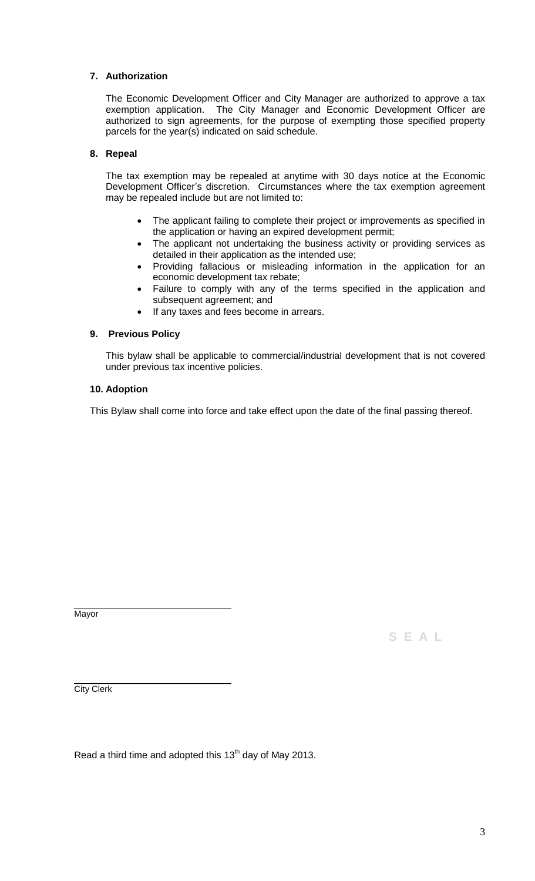# **7. Authorization**

The Economic Development Officer and City Manager are authorized to approve a tax exemption application. The City Manager and Economic Development Officer are authorized to sign agreements, for the purpose of exempting those specified property parcels for the year(s) indicated on said schedule.

## **8. Repeal**

The tax exemption may be repealed at anytime with 30 days notice at the Economic Development Officer's discretion. Circumstances where the tax exemption agreement may be repealed include but are not limited to:

- The applicant failing to complete their project or improvements as specified in the application or having an expired development permit;
- The applicant not undertaking the business activity or providing services as detailed in their application as the intended use;
- Providing fallacious or misleading information in the application for an economic development tax rebate;
- Failure to comply with any of the terms specified in the application and subsequent agreement; and
- If any taxes and fees become in arrears.

#### **9. Previous Policy**

This bylaw shall be applicable to commercial/industrial development that is not covered under previous tax incentive policies.

#### **10. Adoption**

This Bylaw shall come into force and take effect upon the date of the final passing thereof.

**Mayor** 

**S E A L**

City Clerk

Read a third time and adopted this  $13<sup>th</sup>$  day of May 2013.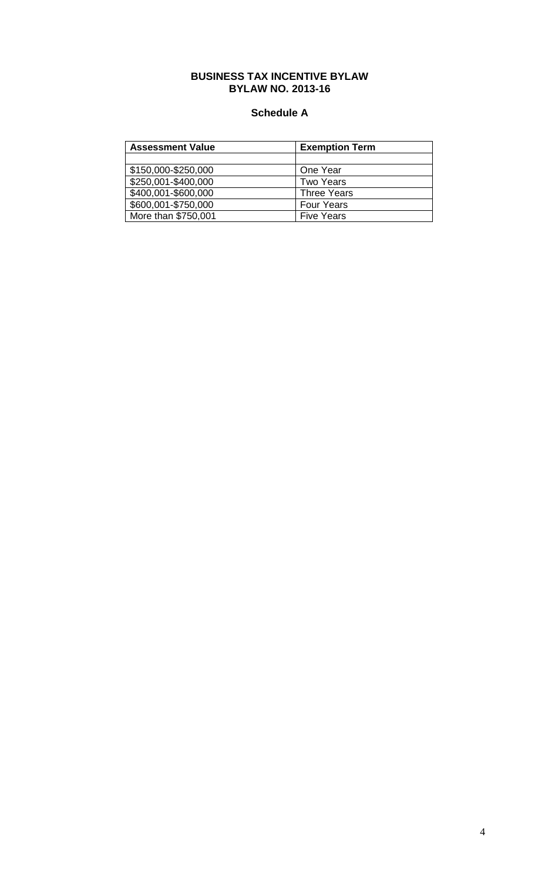## **BUSINESS TAX INCENTIVE BYLAW BYLAW NO. 2013-16**

# **Schedule A**

| <b>Assessment Value</b> | <b>Exemption Term</b> |
|-------------------------|-----------------------|
|                         |                       |
| \$150,000-\$250,000     | One Year              |
| \$250,001-\$400,000     | <b>Two Years</b>      |
| \$400,001-\$600,000     | <b>Three Years</b>    |
| \$600,001-\$750,000     | <b>Four Years</b>     |
| More than \$750,001     | <b>Five Years</b>     |
|                         |                       |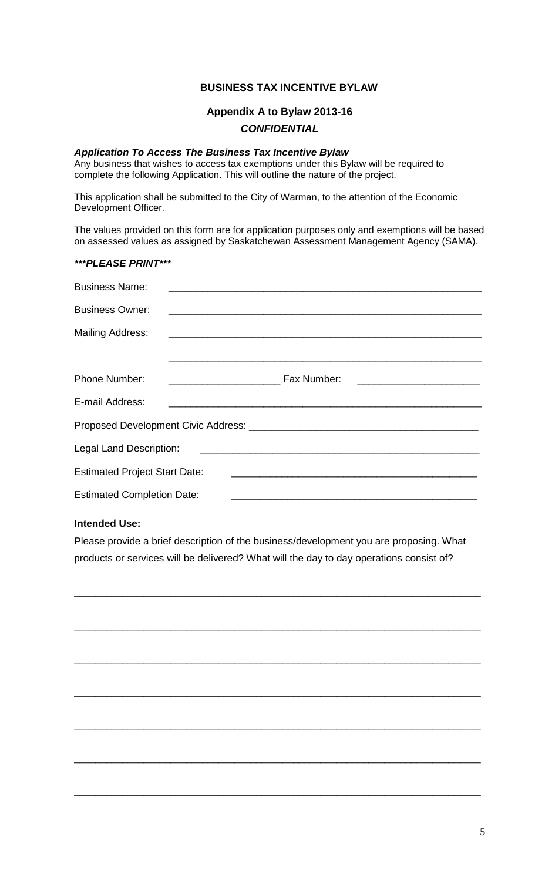# **BUSINESS TAX INCENTIVE BYLAW**

# **Appendix A to Bylaw 2013-16** *CONFIDENTIAL*

#### *Application To Access The Business Tax Incentive Bylaw*

Any business that wishes to access tax exemptions under this Bylaw will be required to complete the following Application. This will outline the nature of the project.

This application shall be submitted to the City of Warman, to the attention of the Economic Development Officer.

The values provided on this form are for application purposes only and exemptions will be based on assessed values as assigned by Saskatchewan Assessment Management Agency (SAMA).

#### *\*\*\*PLEASE PRINT\*\*\**

| <b>Business Name:</b>                                                                                                                            | <u> 1989 - John Stoff, deutscher Stoff, der Stoff, der Stoff, der Stoff, der Stoff, der Stoff, der Stoff, der Sto</u>                                |  |
|--------------------------------------------------------------------------------------------------------------------------------------------------|------------------------------------------------------------------------------------------------------------------------------------------------------|--|
| <b>Business Owner:</b>                                                                                                                           | <u> 1989 - Johann Stoff, die besteht aus der Stoffen und der Stoffen und der Stoffen und der Stoffen und der Stoffen und</u>                         |  |
| <b>Mailing Address:</b>                                                                                                                          |                                                                                                                                                      |  |
|                                                                                                                                                  |                                                                                                                                                      |  |
| <b>Phone Number:</b>                                                                                                                             | <b>No. 2016</b> Fax Number:<br><u> 1989 - Johann John Stein, meil am der Stein und der Stein und der Stein und der Stein und der Stein und der S</u> |  |
| E-mail Address:                                                                                                                                  | <u> 2000 - Jan Barnett, amerikan berlandar (h. 1888).</u><br>1900 - Johann Barnett, amerikan bizkoaren batean batean (h. 1880).                      |  |
|                                                                                                                                                  |                                                                                                                                                      |  |
| Legal Land Description:<br><u> 1989 - Johann Harry Harry Harry Harry Harry Harry Harry Harry Harry Harry Harry Harry Harry Harry Harry Harry</u> |                                                                                                                                                      |  |
| <b>Estimated Project Start Date:</b>                                                                                                             |                                                                                                                                                      |  |
| <b>Estimated Completion Date:</b>                                                                                                                |                                                                                                                                                      |  |

## **Intended Use:**

Please provide a brief description of the business/development you are proposing. What products or services will be delivered? What will the day to day operations consist of?

\_\_\_\_\_\_\_\_\_\_\_\_\_\_\_\_\_\_\_\_\_\_\_\_\_\_\_\_\_\_\_\_\_\_\_\_\_\_\_\_\_\_\_\_\_\_\_\_\_\_\_\_\_\_\_\_\_\_\_\_\_\_\_\_\_\_\_\_\_\_\_\_\_\_\_\_

\_\_\_\_\_\_\_\_\_\_\_\_\_\_\_\_\_\_\_\_\_\_\_\_\_\_\_\_\_\_\_\_\_\_\_\_\_\_\_\_\_\_\_\_\_\_\_\_\_\_\_\_\_\_\_\_\_\_\_\_\_\_\_\_\_\_\_\_\_\_\_\_\_\_\_\_

\_\_\_\_\_\_\_\_\_\_\_\_\_\_\_\_\_\_\_\_\_\_\_\_\_\_\_\_\_\_\_\_\_\_\_\_\_\_\_\_\_\_\_\_\_\_\_\_\_\_\_\_\_\_\_\_\_\_\_\_\_\_\_\_\_\_\_\_\_\_\_\_\_\_\_\_

\_\_\_\_\_\_\_\_\_\_\_\_\_\_\_\_\_\_\_\_\_\_\_\_\_\_\_\_\_\_\_\_\_\_\_\_\_\_\_\_\_\_\_\_\_\_\_\_\_\_\_\_\_\_\_\_\_\_\_\_\_\_\_\_\_\_\_\_\_\_\_\_\_\_\_\_

\_\_\_\_\_\_\_\_\_\_\_\_\_\_\_\_\_\_\_\_\_\_\_\_\_\_\_\_\_\_\_\_\_\_\_\_\_\_\_\_\_\_\_\_\_\_\_\_\_\_\_\_\_\_\_\_\_\_\_\_\_\_\_\_\_\_\_\_\_\_\_\_\_\_\_\_

\_\_\_\_\_\_\_\_\_\_\_\_\_\_\_\_\_\_\_\_\_\_\_\_\_\_\_\_\_\_\_\_\_\_\_\_\_\_\_\_\_\_\_\_\_\_\_\_\_\_\_\_\_\_\_\_\_\_\_\_\_\_\_\_\_\_\_\_\_\_\_\_\_\_\_\_

\_\_\_\_\_\_\_\_\_\_\_\_\_\_\_\_\_\_\_\_\_\_\_\_\_\_\_\_\_\_\_\_\_\_\_\_\_\_\_\_\_\_\_\_\_\_\_\_\_\_\_\_\_\_\_\_\_\_\_\_\_\_\_\_\_\_\_\_\_\_\_\_\_\_\_\_